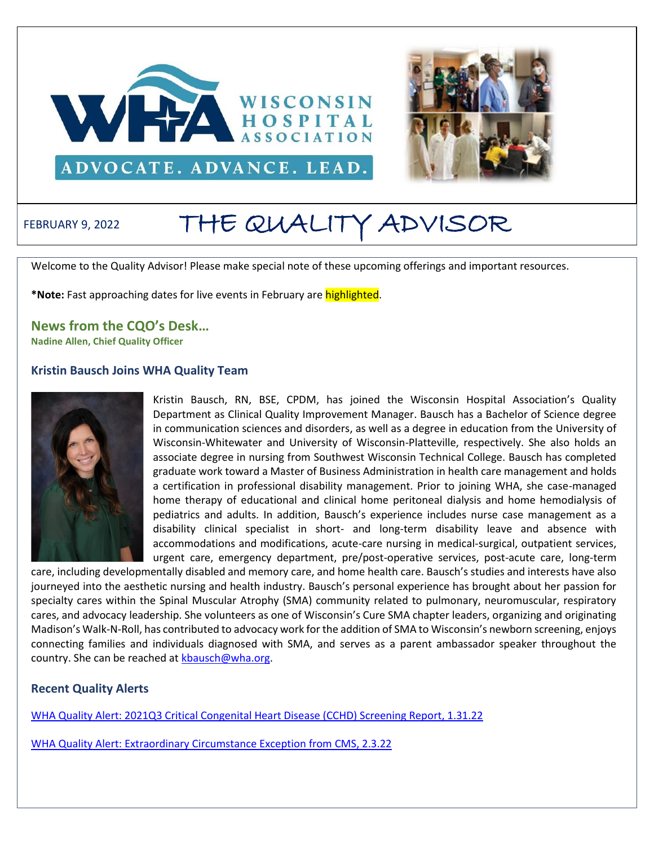



# FEBRUARY 9, 2022 THE QUALITY ADVISOR

Welcome to the Quality Advisor! Please make special note of these upcoming offerings and important resources.

**\*Note:** Fast approaching dates for live events in February are highlighted.

**News from the CQO's Desk…**

**Nadine Allen, Chief Quality Officer**

#### **Kristin Bausch Joins WHA Quality Team**



Kristin Bausch, RN, BSE, CPDM, has joined the Wisconsin Hospital Association's Quality Department as Clinical Quality Improvement Manager. Bausch has a Bachelor of Science degree in communication sciences and disorders, as well as a degree in education from the University of Wisconsin-Whitewater and University of Wisconsin-Platteville, respectively. She also holds an associate degree in nursing from Southwest Wisconsin Technical College. Bausch has completed graduate work toward a Master of Business Administration in health care management and holds a certification in professional disability management. Prior to joining WHA, she case-managed home therapy of educational and clinical home peritoneal dialysis and home hemodialysis of pediatrics and adults. In addition, Bausch's experience includes nurse case management as a disability clinical specialist in short- and long-term disability leave and absence with accommodations and modifications, acute-care nursing in medical-surgical, outpatient services, urgent care, emergency department, pre/post-operative services, post-acute care, long-term

care, including developmentally disabled and memory care, and home health care. Bausch's studies and interests have also journeyed into the aesthetic nursing and health industry. Bausch's personal experience has brought about her passion for specialty cares within the Spinal Muscular Atrophy (SMA) community related to pulmonary, neuromuscular, respiratory cares, and advocacy leadership. She volunteers as one of Wisconsin's Cure SMA chapter leaders, organizing and originating Madison's Walk-N-Roll, has contributed to advocacy work for the addition of SMA to Wisconsin's newborn screening, enjoys connecting families and individuals diagnosed with SMA, and serves as a parent ambassador speaker throughout the country. She can be reached at [kbausch@wha.org.](mailto:kbausch@wha.org)

#### **Recent Quality Alerts**

WHA Quality Alert: [2021Q3 Critical Congenital Heart Disease \(CCHD\) Screening Report, 1.31.22](http://www.wha.org/Home/Common-PDFs/QAlert1-31-22.pdf)

[WHA Quality Alert: Extraordinary Circumstance Exception from CMS, 2.3.22](http://www.wha.org/Home/Common-PDFs/QAlert2-3-22.pdf)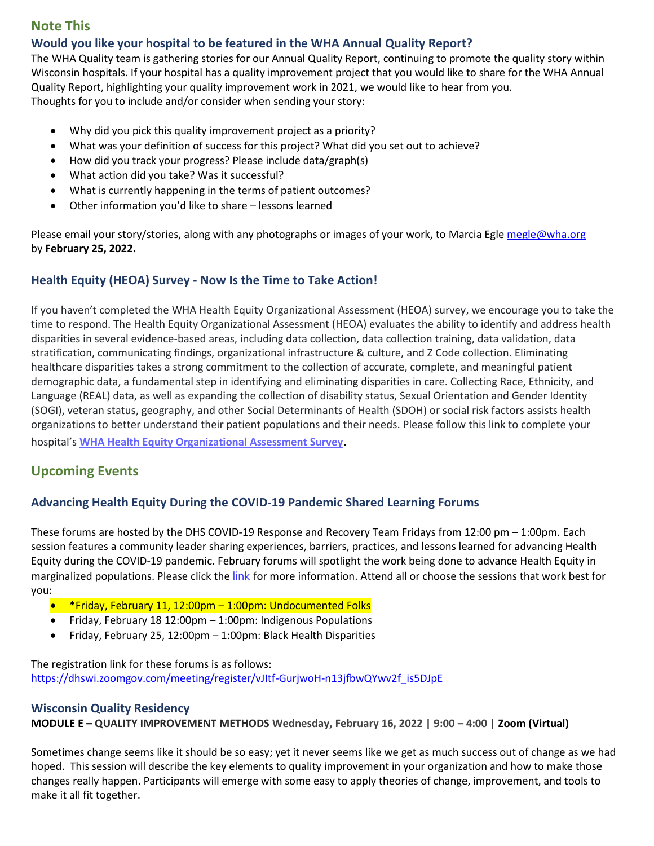# **Note This**

## **Would you like your hospital to be featured in the WHA Annual Quality Report?**

The WHA Quality team is gathering stories for our Annual Quality Report, continuing to promote the quality story within Wisconsin hospitals. If your hospital has a quality improvement project that you would like to share for the WHA Annual Quality Report, highlighting your quality improvement work in 2021, we would like to hear from you. Thoughts for you to include and/or consider when sending your story:

- Why did you pick this quality improvement project as a priority?
- What was your definition of success for this project? What did you set out to achieve?
- How did you track your progress? Please include data/graph(s)
- What action did you take? Was it successful?
- What is currently happening in the terms of patient outcomes?
- Other information you'd like to share lessons learned

Please email your story/stories, along with any photographs or images of your work, to Marcia Egl[e megle@wha.org](mailto:megle@wha.org) by **February 25, 2022.** 

## **Health Equity (HEOA) Survey - Now Is the Time to Take Action!**

If you haven't completed the WHA Health Equity Organizational Assessment (HEOA) survey, we encourage you to take the time to respond. The Health Equity Organizational Assessment (HEOA) evaluates the ability to identify and address health disparities in several evidence-based areas, including data collection, data collection training, data validation, data stratification, communicating findings, organizational infrastructure & culture, and Z Code collection. Eliminating healthcare disparities takes a strong commitment to the collection of accurate, complete, and meaningful patient demographic data, a fundamental step in identifying and eliminating disparities in care. Collecting Race, Ethnicity, and Language (REAL) data, as well as expanding the collection of disability status, Sexual Orientation and Gender Identity (SOGI), veteran status, geography, and other Social Determinants of Health (SDOH) or social risk factors assists health organizations to better understand their patient populations and their needs. Please follow this link to complete your

hospital's **[WHA Health Equity Organizational Assessment Survey](https://nam12.safelinks.protection.outlook.com/?url=https%3A%2F%2Fforms.office.com%2FPages%2FResponsePage.aspx%3Fid%3D-EZlu16lpkyY7B0he0zJsDpyq15tcXFPocDSKvA5_XJURExMMTA2RFlMTURSWDVaRExJMlo3QlJFWiQlQCN0PWcu&data=04%7C01%7Crpasbrig%40prairieridge.health%7Ce891790aded84e90c57108d9d5133c17%7C22d6a6064fd847ec8780912b9ad61142%7C0%7C0%7C637775103437533768%7CUnknown%7CTWFpbGZsb3d8eyJWIjoiMC4wLjAwMDAiLCJQIjoiV2luMzIiLCJBTiI6Ik1haWwiLCJXVCI6Mn0%3D%7C2000&sdata=VctuOxfCgyD0nV4LyWmduWYZUKk9ddOITBEbFb5PcoA%3D&reserved=0)**.

# **Upcoming Events**

# **Advancing Health Equity During the COVID-19 Pandemic Shared Learning Forums**

These forums are hosted by the DHS COVID-19 Response and Recovery Team Fridays from 12:00 pm – 1:00pm. Each session features a community leader sharing experiences, barriers, practices, and lessons learned for advancing Health Equity during the COVID-19 pandemic. February forums will spotlight the work being done to advance Health Equity in marginalized populations. Please click the [link](http://www.wha.org/Home/Common-PDFs/February_Advancing-Health-Equity-Forum-Flyer.pdf) for more information. Attend all or choose the sessions that work best for you:

- \*Friday, February 11, 12:00pm 1:00pm: Undocumented Folks
- Friday, February 18 12:00pm 1:00pm: Indigenous Populations
- Friday, February 25, 12:00pm 1:00pm: Black Health Disparities

The registration link for these forums is as follows: [https://dhswi.zoomgov.com/meeting/register/vJItf-GurjwoH-n13jfbwQYwv2f\\_is5DJpE](https://dhswi.zoomgov.com/meeting/register/vJItf-GurjwoH-n13jfbwQYwv2f_is5DJpE)

#### **Wisconsin Quality Residency**

**MODULE E – QUALITY IMPROVEMENT METHODS Wednesday, February 16, 2022 | 9:00 – 4:00 | Zoom (Virtual)**

Sometimes change seems like it should be so easy; yet it never seems like we get as much success out of change as we had hoped. This session will describe the key elements to quality improvement in your organization and how to make those changes really happen. Participants will emerge with some easy to apply theories of change, improvement, and tools to make it all fit together.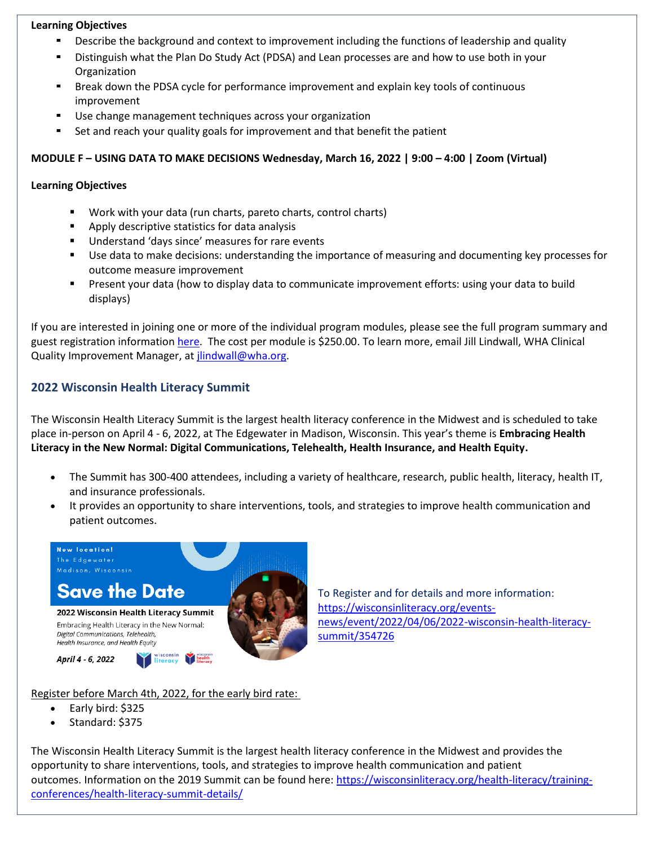#### **Learning Objectives**

- Describe the background and context to improvement including the functions of leadership and quality
- Distinguish what the Plan Do Study Act (PDSA) and Lean processes are and how to use both in your Organization
- Break down the PDSA cycle for performance improvement and explain key tools of continuous improvement
- Use change management techniques across your organization
- Set and reach your quality goals for improvement and that benefit the patient

#### **MODULE F – USING DATA TO MAKE DECISIONS Wednesday, March 16, 2022 | 9:00 – 4:00 | Zoom (Virtual)**

#### **Learning Objectives**

- Work with your data (run charts, pareto charts, control charts)
- Apply descriptive statistics for data analysis
- Understand 'days since' measures for rare events
- Use data to make decisions: understanding the importance of measuring and documenting key processes for outcome measure improvement
- Present your data (how to display data to communicate improvement efforts: using your data to build displays)

If you are interested in joining one or more of the individual program modules, please see the full program summary and guest registration information [here.](http://www.wha.org/Home/Common-PDFs/WI-QR-ProgramGUEST-SCHEDULE-2021.pdf) The cost per module is \$250.00. To learn more, email Jill Lindwall, WHA Clinical Quality Improvement Manager, at *jlindwall@wha.org*.

# **2022 Wisconsin Health Literacy Summit**

The Wisconsin Health Literacy Summit is the largest health literacy conference in the Midwest and is scheduled to take place in-person on April 4 - 6, 2022, at The Edgewater in Madison, Wisconsin. This year's theme is **Embracing Health Literacy in the New Normal: Digital Communications, Telehealth, Health Insurance, and Health Equity.**

- The Summit has 300-400 attendees, including a variety of healthcare, research, public health, literacy, health IT, and insurance professionals.
- It provides an opportunity to share interventions, tools, and strategies to improve health communication and patient outcomes.



To Register and for details and more information: [https://wisconsinliteracy.org/events](https://wisconsinliteracy.org/events-news/event/2022/04/06/2022-wisconsin-health-literacy-summit/354726)[news/event/2022/04/06/2022-wisconsin-health-literacy](https://wisconsinliteracy.org/events-news/event/2022/04/06/2022-wisconsin-health-literacy-summit/354726)[summit/354726](https://wisconsinliteracy.org/events-news/event/2022/04/06/2022-wisconsin-health-literacy-summit/354726)

Register before March 4th, 2022, for the early bird rate:

- Early bird: \$325
- Standard: \$375

The Wisconsin Health Literacy Summit is the largest health literacy conference in the Midwest and provides the opportunity to share interventions, tools, and strategies to improve health communication and patient outcomes. Information on the 2019 Summit can be found here: [https://wisconsinliteracy.org/health-literacy/training](https://nam12.safelinks.protection.outlook.com/?url=https%3A%2F%2Flinkprotect.cudasvc.com%2Furl%3Fa%3Dhttps%253a%252f%252fwisconsinliteracy.org%252fhealth-literacy%252ftraining-conferences%252fhealth-literacy-summit-details%252f%26c%3DE%2C1%2C0wPiBe_eGMvydumR4uqwYwTsRnHBqOJQMtZCkgiO3YNDhsnodj26wj7bQOvkFxjP7AI7QQJQYSFM37YrkkJ13FhqShKOn9TucwrsrBqSGQQE1wDPgKilhjE%2C%26typo%3D1&data=04%7C01%7Cbhumi%40wisconsinliteracy.org%7C468a5c78ac204d3bba0708d98d85f45f%7Cf55fde41bf2b4ddba2fd72a7e2d7944f%7C1%7C0%7C637696429779501778%7CUnknown%7CTWFpbGZsb3d8eyJWIjoiMC4wLjAwMDAiLCJQIjoiV2luMzIiLCJBTiI6Ik1haWwiLCJXVCI6Mn0%3D%7C1000&sdata=wloyDEtBcVXQx9ZRQkVzrs7jCXjxa0H26TqcEXmy3Tk%3D&reserved=0)[conferences/health-literacy-summit-details/](https://nam12.safelinks.protection.outlook.com/?url=https%3A%2F%2Flinkprotect.cudasvc.com%2Furl%3Fa%3Dhttps%253a%252f%252fwisconsinliteracy.org%252fhealth-literacy%252ftraining-conferences%252fhealth-literacy-summit-details%252f%26c%3DE%2C1%2C0wPiBe_eGMvydumR4uqwYwTsRnHBqOJQMtZCkgiO3YNDhsnodj26wj7bQOvkFxjP7AI7QQJQYSFM37YrkkJ13FhqShKOn9TucwrsrBqSGQQE1wDPgKilhjE%2C%26typo%3D1&data=04%7C01%7Cbhumi%40wisconsinliteracy.org%7C468a5c78ac204d3bba0708d98d85f45f%7Cf55fde41bf2b4ddba2fd72a7e2d7944f%7C1%7C0%7C637696429779501778%7CUnknown%7CTWFpbGZsb3d8eyJWIjoiMC4wLjAwMDAiLCJQIjoiV2luMzIiLCJBTiI6Ik1haWwiLCJXVCI6Mn0%3D%7C1000&sdata=wloyDEtBcVXQx9ZRQkVzrs7jCXjxa0H26TqcEXmy3Tk%3D&reserved=0)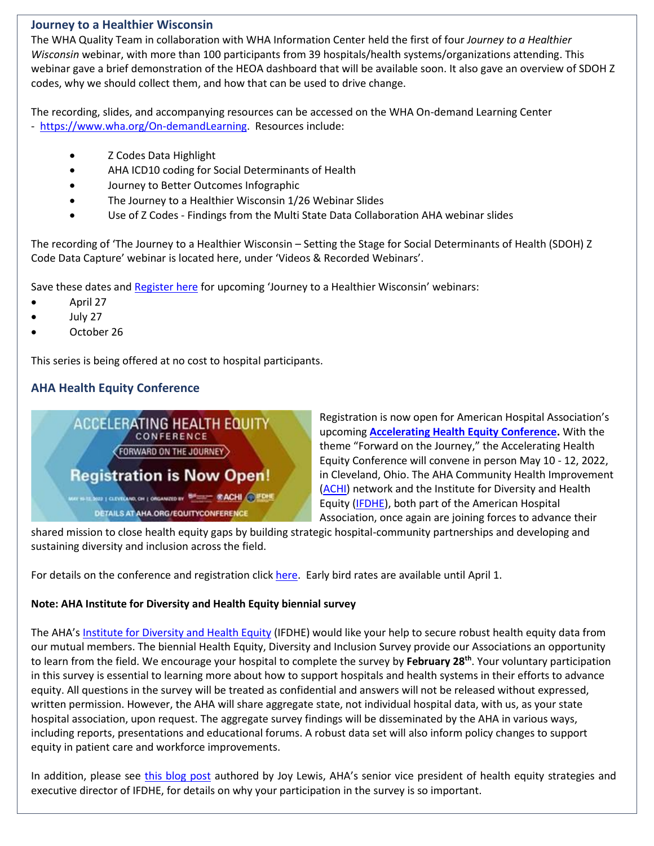## **Journey to a Healthier Wisconsin**

The WHA Quality Team in collaboration with WHA Information Center held the first of four *Journey to a Healthier Wisconsin* webinar, with more than 100 participants from 39 hospitals/health systems/organizations attending. This webinar gave a brief demonstration of the HEOA dashboard that will be available soon. It also gave an overview of SDOH Z codes, why we should collect them, and how that can be used to drive change.

The recording, slides, and accompanying resources can be accessed on the WHA On-demand Learning Center - [https://www.wha.org/On-demandLearning.](https://www.wha.org/On-demandLearning) Resources include:

- Z Codes Data Highlight
- AHA ICD10 coding for Social Determinants of Health
- Journey to Better Outcomes Infographic
- The Journey to a Healthier Wisconsin 1/26 Webinar Slides
- Use of Z Codes Findings from the Multi State Data Collaboration AHA webinar slides

The recording of 'The Journey to a Healthier Wisconsin – Setting the Stage for Social Determinants of Health (SDOH) Z Code Data Capture' webinar is located here, under 'Videos & Recorded Webinars'.

Save these dates and [Register here](https://www.wha.org/EducationEvent?EventID=390) for upcoming 'Journey to a Healthier Wisconsin' webinars:

- April 27
- July 27
- October 26

This series is being offered at no cost to hospital participants.

# **AHA Health Equity Conference**



Registration is now open for American Hospital Association's upcoming **[Accelerating Health Equity Conference.](https://web.cvent.com/event/efb71c93-6768-4141-b8fa-9b54477449b9/summary)** With the theme "Forward on the Journey," the Accelerating Health Equity Conference will convene in person May 10 - 12, 2022, in Cleveland, Ohio. The AHA Community Health Improvement [\(ACHI\)](https://www.healthycommunities.org/) network and the Institute for Diversity and Health Equity [\(IFDHE\)](https://ifdhe.aha.org/), both part of the American Hospital Association, once again are joining forces to advance their

shared mission to close health equity gaps by building strategic hospital-community partnerships and developing and sustaining diversity and inclusion across the field.

For details on the conference and registration click [here.](https://www.aha.org/accelerating-health-equity) Early bird rates are available until April 1.

#### **Note: AHA Institute for Diversity and Health Equity biennial survey**

The AHA's [Institute for Diversity and Health Equity](https://ifdhe.aha.org/) (IFDHE) would like your help to secure robust health equity data from our mutual members. The biennial Health Equity, Diversity and Inclusion Survey provide our Associations an opportunity to learn from the field. We encourage your hospital to complete the survey by **February 28th** . Your voluntary participation in this survey is essential to learning more about how to support hospitals and health systems in their efforts to advance equity. All questions in the survey will be treated as confidential and answers will not be released without expressed, written permission. However, the AHA will share aggregate state, not individual hospital data, with us, as your state hospital association, upon request. The aggregate survey findings will be disseminated by the AHA in various ways, including reports, presentations and educational forums. A robust data set will also inform policy changes to support equity in patient care and workforce improvements.

In addition, please see [this blog post](https://www.aha.org/news/blog/2021-12-15-painting-picture-state-health-equity-diversity-and-inclusion-using-data) authored by Joy Lewis, AHA's senior vice president of health equity strategies and executive director of IFDHE, for details on why your participation in the survey is so important.